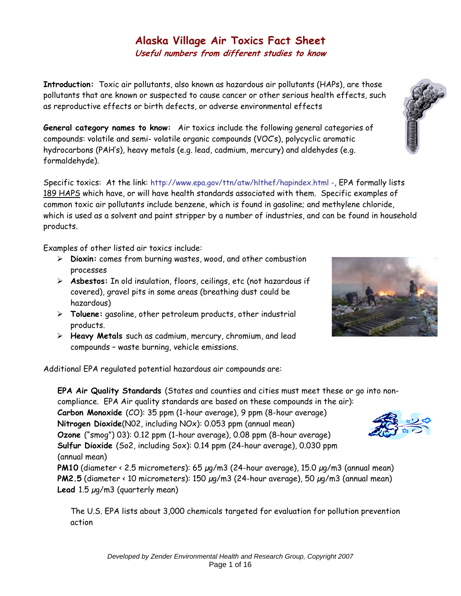### **Alaska Village Air Toxics Fact Sheet Useful numbers from different studies to know**

**Introduction:** Toxic air pollutants, also known as hazardous air pollutants (HAPs), are those pollutants that are known or suspected to cause cancer or other serious health effects, such as reproductive effects or birth defects, or adverse environmental effects

**General category names to know:** Air toxics include the following general categories of compounds: volatile and semi- volatile organic compounds (VOC's), polycyclic aromatic hydrocarbons (PAH's), heavy metals (e.g. lead, cadmium, mercury) and aldehydes (e.g. formaldehyde).

Specific toxics: At the link: http://www.epa.gov/ttn/atw/hlthef/hapindex.html -, EPA formally lists 189 HAPS which have, or will have health standards associated with them. Specific examples of common toxic air pollutants include benzene, which is found in gasoline; and methylene chloride, which is used as a solvent and paint stripper by a number of industries, and can be found in household products.

Examples of other listed air toxics include:

- **Dioxin:** comes from burning wastes, wood, and other combustion processes
- **Asbestos:** In old insulation, floors, ceilings, etc (not hazardous if covered), gravel pits in some areas (breathing dust could be hazardous)
- **Toluene:** gasoline, other petroleum products, other industrial products.
- **Heavy Metals** such as cadmium, mercury, chromium, and lead compounds – waste burning, vehicle emissions.

Additional EPA regulated potential hazardous air compounds are:

**EPA Air Quality Standards** (States and counties and cities must meet these or go into noncompliance. EPA Air quality standards are based on these compounds in the air): **Carbon Monoxide** (CO): 35 ppm (1-hour average), 9 ppm (8-hour average) **Nitrogen Dioxide**(N02, including NOx): 0.053 ppm (annual mean) **Ozone** ("smog") 03): 0.12 ppm (1-hour average), 0.08 ppm (8-hour average) **Sulfur Dioxide** (So2, including Sox): 0.14 ppm (24-hour average), 0.030 ppm (annual mean) PM10 (diameter < 2.5 micrometers): 65 µg/m3 (24-hour average), 15.0 µg/m3 (annual mean) PM2.5 (diameter < 10 micrometers): 150 µg/m3 (24-hour average), 50 µg/m3 (annual mean) **Lead** 1.5 µg/m3 (quarterly mean)

The U.S. EPA lists about 3,000 chemicals targeted for evaluation for pollution prevention action





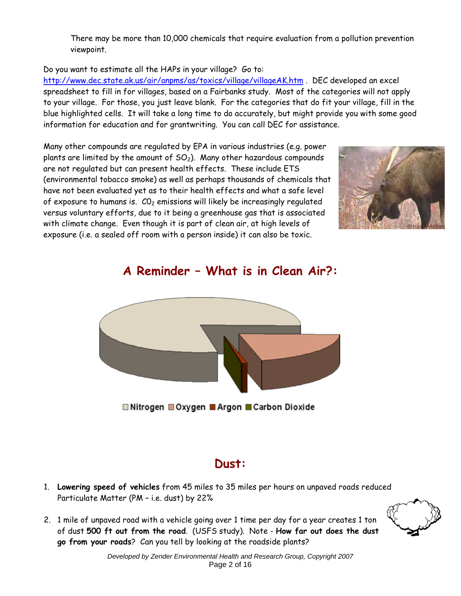There may be more than 10,000 chemicals that require evaluation from a pollution prevention viewpoint.

Do you want to estimate all the HAPs in your village? Go to:

http://www.dec.state.ak.us/air/anpms/as/toxics/village/villageAK.htm . DEC developed an excel spreadsheet to fill in for villages, based on a Fairbanks study. Most of the categories will not apply to your village. For those, you just leave blank. For the categories that do fit your village, fill in the blue highlighted cells. It will take a long time to do accurately, but might provide you with some good information for education and for grantwriting. You can call DEC for assistance.

Many other compounds are regulated by EPA in various industries (e.g. power plants are limited by the amount of  $SO<sub>2</sub>$ ). Many other hazardous compounds are not regulated but can present health effects. These include ETS (environmental tobacco smoke) as well as perhaps thousands of chemicals that have not been evaluated yet as to their health effects and what a safe level of exposure to humans is.  $CO<sub>2</sub>$  emissions will likely be increasingly regulated versus voluntary efforts, due to it being a greenhouse gas that is associated with climate change. Even though it is part of clean air, at high levels of exposure (i.e. a sealed off room with a person inside) it can also be toxic.



# **A Reminder – What is in Clean Air?:**



**■Nitrogen ■Oxygen ■Argon ■Carbon Dioxide** 

### **Dust:**

- 1. **Lowering speed of vehicles** from 45 miles to 35 miles per hours on unpaved roads reduced Particulate Matter (PM – i.e. dust) by 22%
- 2. 1 mile of unpaved road with a vehicle going over 1 time per day for a year creates 1 ton of dust **500 ft out from the road**. (USFS study). Note - **How far out does the dust go from your roads**? Can you tell by looking at the roadside plants?

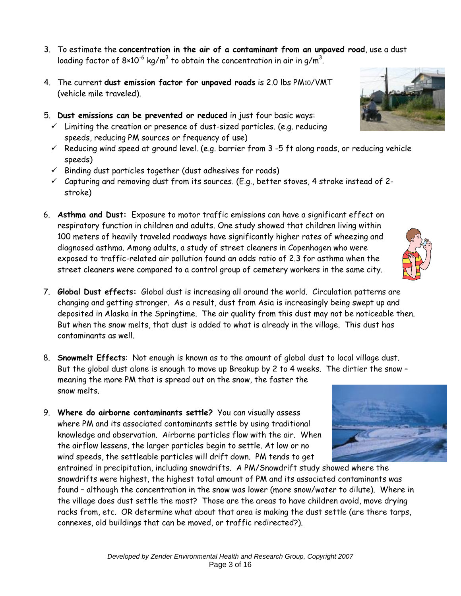- 3. To estimate the **concentration in the air of a contaminant from an unpaved road**, use a dust loading factor of 8×10<sup>-6</sup> kg/m<sup>3</sup> to obtain the concentration in air in g/m<sup>3</sup>.
- 4. The current **dust emission factor for unpaved roads** is 2.0 lbs PM10/VMT (vehicle mile traveled).
- 5. **Dust emissions can be prevented or reduced** in just four basic ways:
	- $\checkmark$  Limiting the creation or presence of dust-sized particles. (e.g. reducing speeds, reducing PM sources or frequency of use)
	- $\checkmark$  Reducing wind speed at ground level. (e.g. barrier from 3-5 ft along roads, or reducing vehicle speeds)
	- $\checkmark$  Binding dust particles together (dust adhesives for roads)
	- $\checkmark$  Capturing and removing dust from its sources. (E.g., better stoves, 4 stroke instead of 2stroke)
- 6. **Asthma and Dust:** Exposure to motor traffic emissions can have a significant effect on respiratory function in children and adults. One study showed that children living within 100 meters of heavily traveled roadways have significantly higher rates of wheezing and diagnosed asthma. Among adults, a study of street cleaners in Copenhagen who were exposed to traffic-related air pollution found an odds ratio of 2.3 for asthma when the street cleaners were compared to a control group of cemetery workers in the same city.
- 7. **Global Dust effects:** Global dust is increasing all around the world. Circulation patterns are changing and getting stronger. As a result, dust from Asia is increasingly being swept up and deposited in Alaska in the Springtime. The air quality from this dust may not be noticeable then. But when the snow melts, that dust is added to what is already in the village. This dust has contaminants as well.
- 8. **Snowmelt Effects**: Not enough is known as to the amount of global dust to local village dust. But the global dust alone is enough to move up Breakup by 2 to 4 weeks. The dirtier the snow – meaning the more PM that is spread out on the snow, the faster the snow melts.
- 9. **Where do airborne contaminants settle?** You can visually assess where PM and its associated contaminants settle by using traditional knowledge and observation. Airborne particles flow with the air. When the airflow lessens, the larger particles begin to settle. At low or no wind speeds, the settleable particles will drift down. PM tends to get

entrained in precipitation, including snowdrifts. A PM/Snowdrift study showed where the snowdrifts were highest, the highest total amount of PM and its associated contaminants was found – although the concentration in the snow was lower (more snow/water to dilute). Where in the village does dust settle the most? Those are the areas to have children avoid, move drying racks from, etc. OR determine what about that area is making the dust settle (are there tarps, connexes, old buildings that can be moved, or traffic redirected?).





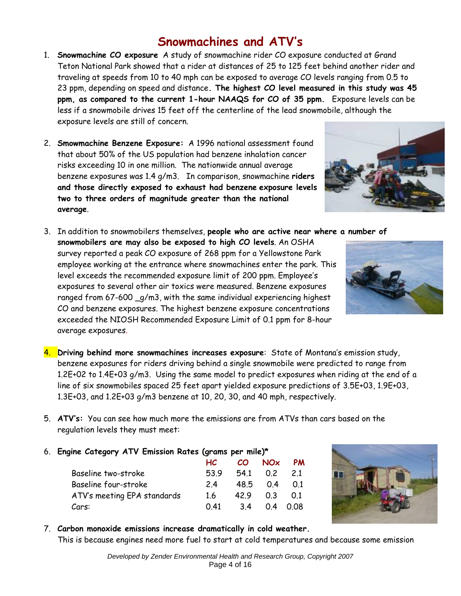## **Snowmachines and ATV's**

- 1. **Snowmachine CO exposure** A study of snowmachine rider CO exposure conducted at Grand Teton National Park showed that a rider at distances of 25 to 125 feet behind another rider and traveling at speeds from 10 to 40 mph can be exposed to average CO levels ranging from 0.5 to 23 ppm, depending on speed and distance**. The highest CO level measured in this study was 45 ppm, as compared to the current 1-hour NAAQS for CO of 35 ppm.** Exposure levels can be less if a snowmobile drives 15 feet off the centerline of the lead snowmobile, although the exposure levels are still of concern.
- 2. **Smowmachine Benzene Exposure:** A 1996 national assessment found that about 50% of the US population had benzene inhalation cancer risks exceeding 10 in one million. The nationwide annual average benzene exposures was 1.4 g/m3. In comparison, snowmachine **riders and those directly exposed to exhaust had benzene exposure levels two to three orders of magnitude greater than the national average**.
- 3. In addition to snowmobilers themselves, **people who are active near where a number of snowmobilers are may also be exposed to high CO levels**. An OSHA survey reported a peak CO exposure of 268 ppm for a Yellowstone Park employee working at the entrance where snowmachines enter the park. This level exceeds the recommended exposure limit of 200 ppm. Employee's exposures to several other air toxics were measured. Benzene exposures ranged from 67-600 g/m3, with the same individual experiencing highest CO and benzene exposures. The highest benzene exposure concentrations exceeded the NIOSH Recommended Exposure Limit of 0.1 ppm for 8-hour average exposures.
- 4. **Driving behind more snowmachines increases exposure**: State of Montana's emission study, benzene exposures for riders driving behind a single snowmobile were predicted to range from 1.2E+02 to 1.4E+03 g/m3. Using the same model to predict exposures when riding at the end of a line of six snowmobiles spaced 25 feet apart yielded exposure predictions of 3.5E+03, 1.9E+03, 1.3E+03, and 1.2E+03 g/m3 benzene at 10, 20, 30, and 40 mph, respectively.
- 5. **ATV's:** You can see how much more the emissions are from ATVs than cars based on the regulation levels they must meet:
- 6. **Engine Category ATV Emission Rates (grams per mile)\***

|                             | HC . |          | CO NOx   | PM    |
|-----------------------------|------|----------|----------|-------|
| Baseline two-stroke         | 539  | 54.1 0.2 |          | 2.1   |
| Baseline four-stroke        | 24   | 48.5     | 0.4      | O 1   |
| ATV's meeting EPA standards | 16   | 42.9     | 0.3      | . O 1 |
| Cars:                       | O 41 | 34       | 0.4 0.08 |       |

7. **Carbon monoxide emissions increase dramatically in cold weather.** This is because engines need more fuel to start at cold temperatures and because some emission





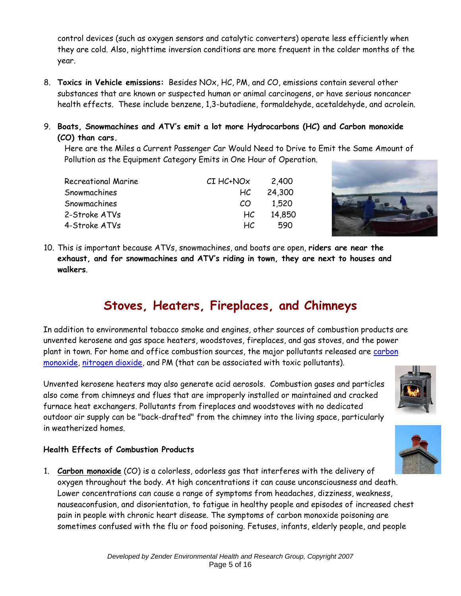control devices (such as oxygen sensors and catalytic converters) operate less efficiently when they are cold. Also, nighttime inversion conditions are more frequent in the colder months of the year.

- 8. **Toxics in Vehicle emissions:** Besides NOx, HC, PM, and CO, emissions contain several other substances that are known or suspected human or animal carcinogens, or have serious noncancer health effects. These include benzene, 1,3-butadiene, formaldehyde, acetaldehyde, and acrolein.
- 9. **Boats, Snowmachines and ATV's emit a lot more Hydrocarbons (HC) and Carbon monoxide (CO) than cars.**

Here are the Miles a Current Passenger Car Would Need to Drive to Emit the Same Amount of Pollution as the Equipment Category Emits in One Hour of Operation.

| <b>Recreational Marine</b> | CI HC+NO <sub>x</sub> | 2,400  |
|----------------------------|-----------------------|--------|
| Snowmachines               | HC.                   | 24,300 |
| Snowmachines               | CO.                   | 1.520  |
| 2-Stroke ATVs              | HC.                   | 14,850 |
| 4-Stroke ATVs              | HC.                   | 590    |



10. This is important because ATVs, snowmachines, and boats are open, **riders are near the exhaust, and for snowmachines and ATV's riding in town, they are next to houses and walkers**.

# **Stoves, Heaters, Fireplaces, and Chimneys**

In addition to environmental tobacco smoke and engines, other sources of combustion products are unvented kerosene and gas space heaters, woodstoves, fireplaces, and gas stoves, and the power plant in town. For home and office combustion sources, the major pollutants released are carbon monoxide, nitrogen dioxide, and PM (that can be associated with toxic pollutants).

Unvented kerosene heaters may also generate acid aerosols. Combustion gases and particles also come from chimneys and flues that are improperly installed or maintained and cracked furnace heat exchangers. Pollutants from fireplaces and woodstoves with no dedicated outdoor air supply can be "back-drafted" from the chimney into the living space, particularly in weatherized homes.

#### **Health Effects of Combustion Products**

1. **Carbon monoxide** (CO) is a colorless, odorless gas that interferes with the delivery of oxygen throughout the body. At high concentrations it can cause unconsciousness and death. Lower concentrations can cause a range of symptoms from headaches, dizziness, weakness, nauseaconfusion, and disorientation, to fatigue in healthy people and episodes of increased chest pain in people with chronic heart disease. The symptoms of carbon monoxide poisoning are sometimes confused with the flu or food poisoning. Fetuses, infants, elderly people, and people

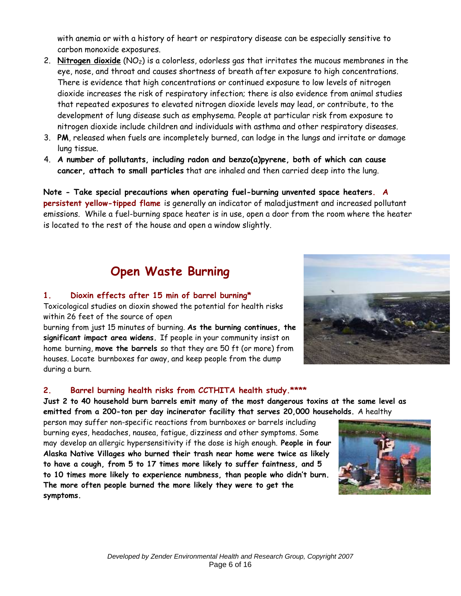with anemia or with a history of heart or respiratory disease can be especially sensitive to carbon monoxide exposures.

- 2. **Nitrogen dioxide** (NO<sub>2</sub>) is a colorless, odorless gas that irritates the mucous membranes in the eye, nose, and throat and causes shortness of breath after exposure to high concentrations. There is evidence that high concentrations or continued exposure to low levels of nitrogen dioxide increases the risk of respiratory infection; there is also evidence from animal studies that repeated exposures to elevated nitrogen dioxide levels may lead, or contribute, to the development of lung disease such as emphysema. People at particular risk from exposure to nitrogen dioxide include children and individuals with asthma and other respiratory diseases.
- 3. **PM**, released when fuels are incompletely burned, can lodge in the lungs and irritate or damage lung tissue.
- 4. **A number of pollutants, including radon and benzo(a)pyrene, both of which can cause cancer, attach to small particles** that are inhaled and then carried deep into the lung.

**Note - Take special precautions when operating fuel-burning unvented space heaters. A persistent yellow-tipped flame** is generally an indicator of maladjustment and increased pollutant emissions. While a fuel-burning space heater is in use, open a door from the room where the heater is located to the rest of the house and open a window slightly.

# **Open Waste Burning**

#### **1. Dioxin effects after 15 min of barrel burning\***

Toxicological studies on dioxin showed the potential for health risks within 26 feet of the source of open

burning from just 15 minutes of burning. **As the burning continues, the significant impact area widens.** If people in your community insist on home burning, **move the barrels** so that they are 50 ft (or more) from houses. Locate burnboxes far away, and keep people from the dump during a burn.



#### **2. Barrel burning health risks from CCTHITA health study.\*\*\*\***

**Just 2 to 40 household burn barrels emit many of the most dangerous toxins at the same level as emitted from a 200-ton per day incinerator facility that serves 20,000 households.** A healthy

person may suffer non-specific reactions from burnboxes or barrels including burning eyes, headaches, nausea, fatigue, dizziness and other symptoms. Some may develop an allergic hypersensitivity if the dose is high enough. **People in four Alaska Native Villages who burned their trash near home were twice as likely to have a cough, from 5 to 17 times more likely to suffer faintness, and 5 to 10 times more likely to experience numbness, than people who didn't burn. The more often people burned the more likely they were to get the symptoms.** 

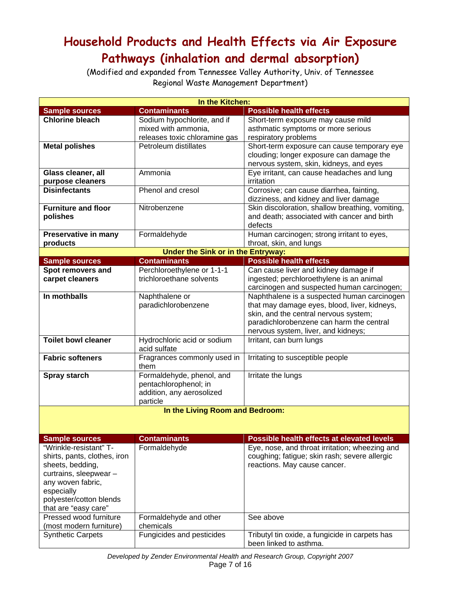# **Household Products and Health Effects via Air Exposure Pathways (inhalation and dermal absorption)**

(Modified and expanded from Tennessee Valley Authority, Univ. of Tennessee Regional Waste Management Department)

| In the Kitchen:                             |                                             |                                                  |  |
|---------------------------------------------|---------------------------------------------|--------------------------------------------------|--|
| <b>Sample sources</b>                       | <b>Contaminants</b>                         | <b>Possible health effects</b>                   |  |
| <b>Chlorine bleach</b>                      | Sodium hypochlorite, and if                 | Short-term exposure may cause mild               |  |
|                                             | mixed with ammonia,                         | asthmatic symptoms or more serious               |  |
|                                             | releases toxic chloramine gas               | respiratory problems                             |  |
| <b>Metal polishes</b>                       | Petroleum distillates                       | Short-term exposure can cause temporary eye      |  |
|                                             |                                             | clouding; longer exposure can damage the         |  |
|                                             |                                             | nervous system, skin, kidneys, and eyes          |  |
| Glass cleaner, all                          | Ammonia                                     | Eye irritant, can cause headaches and lung       |  |
| purpose cleaners                            |                                             | irritation                                       |  |
| <b>Disinfectants</b>                        | Phenol and cresol                           | Corrosive; can cause diarrhea, fainting,         |  |
|                                             |                                             | dizziness, and kidney and liver damage           |  |
| <b>Furniture and floor</b>                  | Nitrobenzene                                | Skin discoloration, shallow breathing, vomiting, |  |
| polishes                                    |                                             | and death; associated with cancer and birth      |  |
|                                             |                                             | defects                                          |  |
| Preservative in many                        | Formaldehyde                                | Human carcinogen; strong irritant to eyes,       |  |
| products                                    |                                             | throat, skin, and lungs                          |  |
|                                             | <b>Under the Sink or in the Entryway:</b>   |                                                  |  |
| <b>Sample sources</b>                       | <b>Contaminants</b>                         | <b>Possible health effects</b>                   |  |
| Spot removers and                           | Perchloroethylene or 1-1-1                  | Can cause liver and kidney damage if             |  |
| carpet cleaners                             | trichloroethane solvents                    | ingested; perchloroethylene is an animal         |  |
|                                             |                                             | carcinogen and suspected human carcinogen;       |  |
| In mothballs                                | Naphthalene or                              | Naphthalene is a suspected human carcinogen      |  |
|                                             | paradichlorobenzene                         | that may damage eyes, blood, liver, kidneys,     |  |
|                                             |                                             | skin, and the central nervous system;            |  |
|                                             |                                             | paradichlorobenzene can harm the central         |  |
|                                             |                                             | nervous system, liver, and kidneys;              |  |
| <b>Toilet bowl cleaner</b>                  | Hydrochloric acid or sodium                 | Irritant, can burn lungs                         |  |
|                                             | acid sulfate                                |                                                  |  |
| <b>Fabric softeners</b>                     | Fragrances commonly used in                 | Irritating to susceptible people                 |  |
|                                             | them                                        |                                                  |  |
| <b>Spray starch</b>                         | Formaldehyde, phenol, and                   | Irritate the lungs                               |  |
|                                             | pentachlorophenol; in                       |                                                  |  |
|                                             | addition, any aerosolized                   |                                                  |  |
|                                             | particle<br>In the Living Room and Bedroom: |                                                  |  |
|                                             |                                             |                                                  |  |
|                                             |                                             |                                                  |  |
|                                             |                                             |                                                  |  |
| <b>Sample sources</b>                       | <b>Contaminants</b>                         | Possible health effects at elevated levels       |  |
| "Wrinkle-resistant" T-                      | Formaldehyde                                | Eye, nose, and throat irritation; wheezing and   |  |
| shirts, pants, clothes, iron                |                                             | coughing; fatigue; skin rash; severe allergic    |  |
| sheets, bedding,                            |                                             | reactions. May cause cancer.                     |  |
| curtrains, sleepwear -<br>any woven fabric, |                                             |                                                  |  |
| especially                                  |                                             |                                                  |  |
| polyester/cotton blends                     |                                             |                                                  |  |
| that are "easy care"                        |                                             |                                                  |  |
| Pressed wood furniture                      | Formaldehyde and other                      | See above                                        |  |
| (most modern furniture)                     | chemicals                                   |                                                  |  |
| <b>Synthetic Carpets</b>                    | Fungicides and pesticides                   | Tributyl tin oxide, a fungicide in carpets has   |  |
|                                             |                                             | been linked to asthma.                           |  |
|                                             |                                             |                                                  |  |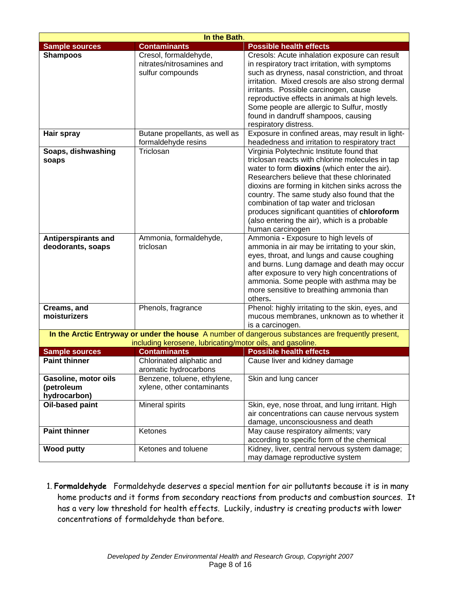| In the Bath.                                       |                                                                        |                                                                                                                                                                                                                                                                                                                                                                                                                                                             |  |
|----------------------------------------------------|------------------------------------------------------------------------|-------------------------------------------------------------------------------------------------------------------------------------------------------------------------------------------------------------------------------------------------------------------------------------------------------------------------------------------------------------------------------------------------------------------------------------------------------------|--|
| <b>Sample sources</b>                              | <b>Contaminants</b>                                                    | <b>Possible health effects</b>                                                                                                                                                                                                                                                                                                                                                                                                                              |  |
| <b>Shampoos</b>                                    | Cresol, formaldehyde,<br>nitrates/nitrosamines and<br>sulfur compounds | Cresols: Acute inhalation exposure can result<br>in respiratory tract irritation, with symptoms<br>such as dryness, nasal constriction, and throat<br>irritation. Mixed cresols are also strong dermal<br>irritants. Possible carcinogen, cause<br>reproductive effects in animals at high levels.<br>Some people are allergic to Sulfur, mostly                                                                                                            |  |
|                                                    |                                                                        | found in dandruff shampoos, causing<br>respiratory distress.                                                                                                                                                                                                                                                                                                                                                                                                |  |
| Hair spray                                         | Butane propellants, as well as<br>formaldehyde resins                  | Exposure in confined areas, may result in light-<br>headedness and irritation to respiratory tract                                                                                                                                                                                                                                                                                                                                                          |  |
| Soaps, dishwashing<br>soaps                        | Triclosan                                                              | Virginia Polytechnic Institute found that<br>triclosan reacts with chlorine molecules in tap<br>water to form dioxins (which enter the air).<br>Researchers believe that these chlorinated<br>dioxins are forming in kitchen sinks across the<br>country. The same study also found that the<br>combination of tap water and triclosan<br>produces significant quantities of chloroform<br>(also entering the air), which is a probable<br>human carcinogen |  |
| <b>Antiperspirants and</b><br>deodorants, soaps    | Ammonia, formaldehyde,<br>triclosan                                    | Ammonia - Exposure to high levels of<br>ammonia in air may be irritating to your skin,<br>eyes, throat, and lungs and cause coughing<br>and burns. Lung damage and death may occur<br>after exposure to very high concentrations of<br>ammonia. Some people with asthma may be<br>more sensitive to breathing ammonia than<br>others.                                                                                                                       |  |
| Creams, and<br>moisturizers                        | Phenols, fragrance                                                     | Phenol: highly irritating to the skin, eyes, and<br>mucous membranes, unknown as to whether it<br>is a carcinogen.                                                                                                                                                                                                                                                                                                                                          |  |
|                                                    |                                                                        | In the Arctic Entryway or under the house A number of dangerous substances are frequently present,                                                                                                                                                                                                                                                                                                                                                          |  |
|                                                    | including kerosene, lubricating/motor oils, and gasoline.              |                                                                                                                                                                                                                                                                                                                                                                                                                                                             |  |
| <b>Sample sources</b>                              | <b>Contaminants</b>                                                    | <b>Possible health effects</b>                                                                                                                                                                                                                                                                                                                                                                                                                              |  |
| <b>Paint thinner</b>                               | Chlorinated aliphatic and<br>aromatic hydrocarbons                     | Cause liver and kidney damage                                                                                                                                                                                                                                                                                                                                                                                                                               |  |
| Gasoline, motor oils<br>(petroleum<br>hydrocarbon) | Benzene, toluene, ethylene,<br>xylene, other contaminants              | Skin and lung cancer                                                                                                                                                                                                                                                                                                                                                                                                                                        |  |
| Oil-based paint                                    | Mineral spirits                                                        | Skin, eye, nose throat, and lung irritant. High<br>air concentrations can cause nervous system<br>damage, unconsciousness and death                                                                                                                                                                                                                                                                                                                         |  |
| <b>Paint thinner</b>                               | Ketones                                                                | May cause respiratory ailments; vary<br>according to specific form of the chemical                                                                                                                                                                                                                                                                                                                                                                          |  |
| <b>Wood putty</b>                                  | Ketones and toluene                                                    | Kidney, liver, central nervous system damage;<br>may damage reproductive system                                                                                                                                                                                                                                                                                                                                                                             |  |

1. **Formaldehyde** Formaldehyde deserves a special mention for air pollutants because it is in many home products and it forms from secondary reactions from products and combustion sources. It has a very low threshold for health effects. Luckily, industry is creating products with lower concentrations of formaldehyde than before.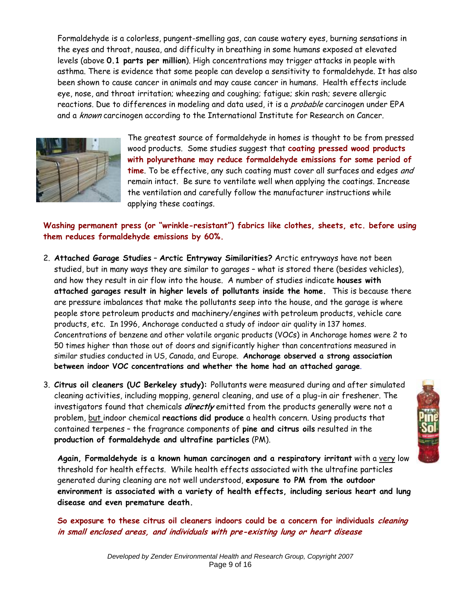Formaldehyde is a colorless, pungent-smelling gas, can cause watery eyes, burning sensations in the eyes and throat, nausea, and difficulty in breathing in some humans exposed at elevated levels (above **0.1 parts per million**). High concentrations may trigger attacks in people with asthma. There is evidence that some people can develop a sensitivity to formaldehyde. It has also been shown to cause cancer in animals and may cause cancer in humans. Health effects include eye, nose, and throat irritation; wheezing and coughing; fatigue; skin rash; severe allergic reactions. Due to differences in modeling and data used, it is a *probable* carcinogen under EPA and a known carcinogen according to the International Institute for Research on Cancer.



The greatest source of formaldehyde in homes is thought to be from pressed wood products. Some studies suggest that **coating pressed wood products with polyurethane may reduce formaldehyde emissions for some period of time**. To be effective, any such coating must cover all surfaces and edges and remain intact. Be sure to ventilate well when applying the coatings. Increase the ventilation and carefully follow the manufacturer instructions while applying these coatings.

**Washing permanent press (or "wrinkle-resistant") fabrics like clothes, sheets, etc. before using them reduces formaldehyde emissions by 60%.** 

- 2. **Attached Garage Studies Arctic Entryway Similarities?** Arctic entryways have not been studied, but in many ways they are similar to garages – what is stored there (besides vehicles), and how they result in air flow into the house. A number of studies indicate **houses with attached garages result in higher levels of pollutants inside the home.** This is because there are pressure imbalances that make the pollutants seep into the house, and the garage is where people store petroleum products and machinery/engines with petroleum products, vehicle care products, etc. In 1996, Anchorage conducted a study of indoor air quality in 137 homes. Concentrations of benzene and other volatile organic products (VOCs) in Anchorage homes were 2 to 50 times higher than those out of doors and significantly higher than concentrations measured in similar studies conducted in US, Canada, and Europe. **Anchorage observed a strong association between indoor VOC concentrations and whether the home had an attached garage**.
- 3. **Citrus oil cleaners (UC Berkeley study):** Pollutants were measured during and after simulated cleaning activities, including mopping, general cleaning, and use of a plug-in air freshener. The investigators found that chemicals **directly** emitted from the products generally were not a problem, but indoor chemical **reactions did produce** a health concern. Using products that contained terpenes – the fragrance components of **pine and citrus oils** resulted in the **production of formaldehyde and ultrafine particles** (PM).

**Again, Formaldehyde is a known human carcinogen and a respiratory irritant** with a very low threshold for health effects. While health effects associated with the ultrafine particles generated during cleaning are not well understood, **exposure to PM from the outdoor environment is associated with a variety of health effects, including serious heart and lung disease and even premature death.**

#### **So exposure to these citrus oil cleaners indoors could be a concern for individuals cleaning in small enclosed areas, and individuals with pre-existing lung or heart disease**



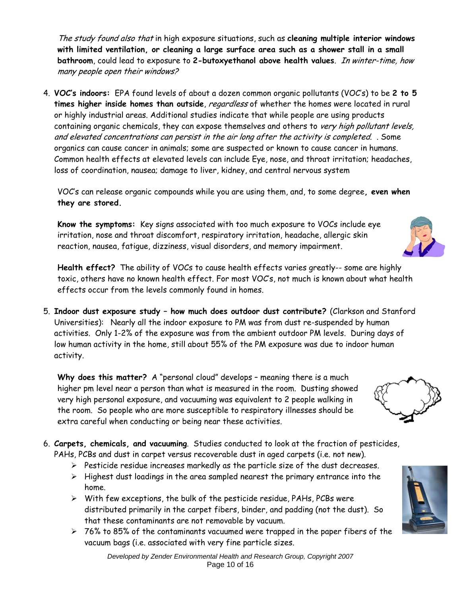The study found also that in high exposure situations, such as **cleaning multiple interior windows with limited ventilation, or cleaning a large surface area such as a shower stall in a small bathroom**, could lead to exposure to **2-butoxyethanol above health values**. In winter-time, how many people open their windows?

4. **VOC's indoors:** EPA found levels of about a dozen common organic pollutants (VOC's) to be **2 to 5 times higher inside homes than outside**, regardless of whether the homes were located in rural or highly industrial areas. Additional studies indicate that while people are using products containing organic chemicals, they can expose themselves and others to very high pollutant levels, and elevated concentrations can persist in the air long after the activity is completed. . Some organics can cause cancer in animals; some are suspected or known to cause cancer in humans. Common health effects at elevated levels can include Eye, nose, and throat irritation; headaches, loss of coordination, nausea; damage to liver, kidney, and central nervous system

VOC's can release organic compounds while you are using them, and, to some degree**, even when they are stored.** 

**Know the symptoms:** Key signs associated with too much exposure to VOCs include eye irritation, nose and throat discomfort, respiratory irritation, headache, allergic skin reaction, nausea, fatigue, dizziness, visual disorders, and memory impairment.

**Health effect?** The ability of VOCs to cause health effects varies greatly-- some are highly toxic, others have no known health effect. For most VOC's, not much is known about what health effects occur from the levels commonly found in homes.

5. **Indoor dust exposure study – how much does outdoor dust contribute?** (Clarkson and Stanford Universities):Nearly all the indoor exposure to PM was from dust re-suspended by human activities. Only 1-2% of the exposure was from the ambient outdoor PM levels. During days of low human activity in the home, still about 55% of the PM exposure was due to indoor human activity.

**Why does this matter?** A "personal cloud" develops – meaning there is a much higher pm level near a person than what is measured in the room. Dusting showed very high personal exposure, and vacuuming was equivalent to 2 people walking in the room. So people who are more susceptible to respiratory illnesses should be extra careful when conducting or being near these activities.

- 6. **Carpets, chemicals, and vacuuming**. Studies conducted to look at the fraction of pesticides, PAHs, PCBs and dust in carpet versus recoverable dust in aged carpets (i.e. not new).
	- $\triangleright$  Pesticide residue increases markedly as the particle size of the dust decreases.
	- $\triangleright$  Highest dust loadings in the area sampled nearest the primary entrance into the home.
	- $\triangleright$  With few exceptions, the bulk of the pesticide residue, PAHs, PCBs were distributed primarily in the carpet fibers, binder, and padding (not the dust). So that these contaminants are not removable by vacuum.
	- $\geq$  76% to 85% of the contaminants vacuumed were trapped in the paper fibers of the vacuum bags (i.e. associated with very fine particle sizes.





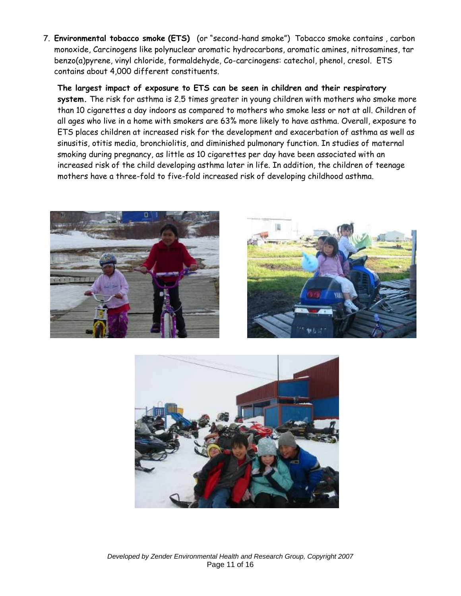7. **Environmental tobacco smoke (ETS)** (or "second-hand smoke") Tobacco smoke contains , carbon monoxide, Carcinogens like polynuclear aromatic hydrocarbons, aromatic amines, nitrosamines, tar benzo(a)pyrene, vinyl chloride, formaldehyde, Co-carcinogens: catechol, phenol, cresol. ETS contains about 4,000 different constituents.

**The largest impact of exposure to ETS can be seen in children and their respiratory system.** The risk for asthma is 2.5 times greater in young children with mothers who smoke more than 10 cigarettes a day indoors as compared to mothers who smoke less or not at all. Children of all ages who live in a home with smokers are 63% more likely to have asthma. Overall, exposure to ETS places children at increased risk for the development and exacerbation of asthma as well as sinusitis, otitis media, bronchiolitis, and diminished pulmonary function. In studies of maternal smoking during pregnancy, as little as 10 cigarettes per day have been associated with an increased risk of the child developing asthma later in life. In addition, the children of teenage mothers have a three-fold to five-fold increased risk of developing childhood asthma.





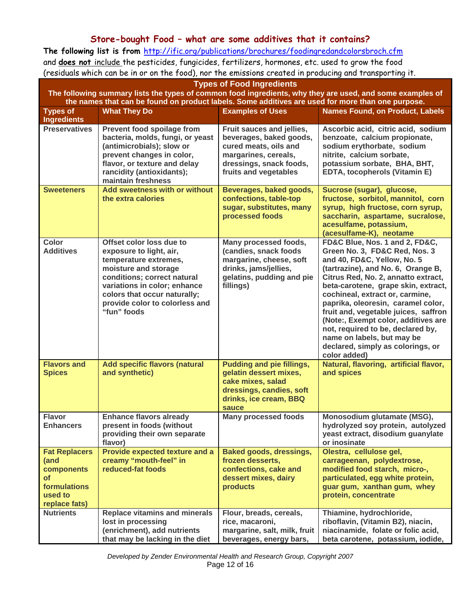### **Store-bought Food – what are some additives that it contains?**

**The following list is from** http://ific.org/publications/brochures/foodingredandcolorsbroch.cfm and **does not** include the pesticides, fungicides, fertilizers, hormones, etc. used to grow the food (residuals which can be in or on the food), nor the emissions created in producing and transporting it.

| <b>Types of Food Ingredients</b><br>The following summary lists the types of common food ingredients, why they are used, and some examples of |                                                                                                                                                                                                                                                      |                                                                                                                                                           |                                                                                                                                                                                                                                                                                                                                                                                                                                                                                                    |  |
|-----------------------------------------------------------------------------------------------------------------------------------------------|------------------------------------------------------------------------------------------------------------------------------------------------------------------------------------------------------------------------------------------------------|-----------------------------------------------------------------------------------------------------------------------------------------------------------|----------------------------------------------------------------------------------------------------------------------------------------------------------------------------------------------------------------------------------------------------------------------------------------------------------------------------------------------------------------------------------------------------------------------------------------------------------------------------------------------------|--|
| the names that can be found on product labels. Some additives are used for more than one purpose.                                             |                                                                                                                                                                                                                                                      |                                                                                                                                                           |                                                                                                                                                                                                                                                                                                                                                                                                                                                                                                    |  |
| <b>Types of</b><br><b>Ingredients</b>                                                                                                         | <b>What They Do</b>                                                                                                                                                                                                                                  | <b>Examples of Uses</b>                                                                                                                                   | <b>Names Found, on Product, Labels</b>                                                                                                                                                                                                                                                                                                                                                                                                                                                             |  |
| <b>Preservatives</b>                                                                                                                          | Prevent food spoilage from<br>bacteria, molds, fungi, or yeast<br>(antimicrobials); slow or<br>prevent changes in color,<br>flavor, or texture and delay<br>rancidity (antioxidants);<br>maintain freshness                                          | Fruit sauces and jellies,<br>beverages, baked goods,<br>cured meats, oils and<br>margarines, cereals,<br>dressings, snack foods,<br>fruits and vegetables | Ascorbic acid, citric acid, sodium<br>benzoate, calcium propionate,<br>sodium erythorbate, sodium<br>nitrite, calcium sorbate,<br>potassium sorbate, BHA, BHT,<br><b>EDTA, tocopherols (Vitamin E)</b>                                                                                                                                                                                                                                                                                             |  |
| <b>Sweeteners</b>                                                                                                                             | Add sweetness with or without<br>the extra calories                                                                                                                                                                                                  | Beverages, baked goods,<br>confections, table-top<br>sugar, substitutes, many<br>processed foods                                                          | Sucrose (sugar), glucose,<br>fructose, sorbitol, mannitol, corn<br>syrup, high fructose, corn syrup,<br>saccharin, aspartame, sucralose,<br>acesulfame, potassium,<br>(acesulfame-K), neotame                                                                                                                                                                                                                                                                                                      |  |
| <b>Color</b><br><b>Additives</b>                                                                                                              | Offset color loss due to<br>exposure to light, air,<br>temperature extremes,<br>moisture and storage<br>conditions; correct natural<br>variations in color; enhance<br>colors that occur naturally;<br>provide color to colorless and<br>"fun" foods | Many processed foods,<br>(candies, snack foods<br>margarine, cheese, soft<br>drinks, jams/jellies,<br>gelatins, pudding and pie<br>fillings)              | FD&C Blue, Nos. 1 and 2, FD&C,<br>Green No. 3, FD&C Red, Nos. 3<br>and 40, FD&C, Yellow, No. 5<br>(tartrazine), and No. 6, Orange B,<br>Citrus Red, No. 2, annatto extract,<br>beta-carotene, grape skin, extract,<br>cochineal, extract or, carmine,<br>paprika, oleoresin, caramel color,<br>fruit and, vegetable juices, saffron<br>(Note:, Exempt color, additives are<br>not, required to be, declared by,<br>name on labels, but may be<br>declared, simply as colorings, or<br>color added) |  |
| <b>Flavors and</b><br><b>Spices</b>                                                                                                           | <b>Add specific flavors (natural</b><br>and synthetic)                                                                                                                                                                                               | <b>Pudding and pie fillings,</b><br>gelatin dessert mixes,<br>cake mixes, salad<br>dressings, candies, soft<br>drinks, ice cream, BBQ<br>sauce            | Natural, flavoring, artificial flavor,<br>and spices                                                                                                                                                                                                                                                                                                                                                                                                                                               |  |
| <b>Flavor</b><br><b>Enhancers</b>                                                                                                             | <b>Enhance flavors already</b><br>present in foods (without<br>providing their own separate<br>flavor)                                                                                                                                               | <b>Many processed foods</b>                                                                                                                               | Monosodium glutamate (MSG),<br>hydrolyzed soy protein, autolyzed<br>yeast extract, disodium guanylate<br>or inosinate                                                                                                                                                                                                                                                                                                                                                                              |  |
| <b>Fat Replacers</b><br>(and<br>components<br><b>of</b><br>formulations<br>used to<br>replace fats)                                           | Provide expected texture and a<br>creamy "mouth-feel" in<br>reduced-fat foods                                                                                                                                                                        | <b>Baked goods, dressings,</b><br>frozen desserts,<br>confections, cake and<br>dessert mixes, dairy<br>products                                           | Olestra, cellulose gel,<br>carrageenan, polydextrose,<br>modified food starch, micro-,<br>particulated, egg white protein,<br>guar gum, xanthan gum, whey<br>protein, concentrate                                                                                                                                                                                                                                                                                                                  |  |
| <b>Nutrients</b>                                                                                                                              | <b>Replace vitamins and minerals</b><br>lost in processing<br>(enrichment), add nutrients<br>that may be lacking in the diet                                                                                                                         | Flour, breads, cereals,<br>rice, macaroni,<br>margarine, salt, milk, fruit<br>beverages, energy bars,                                                     | Thiamine, hydrochloride,<br>riboflavin, (Vitamin B2), niacin,<br>niacinamide, folate or folic acid,<br>beta carotene, potassium, iodide,                                                                                                                                                                                                                                                                                                                                                           |  |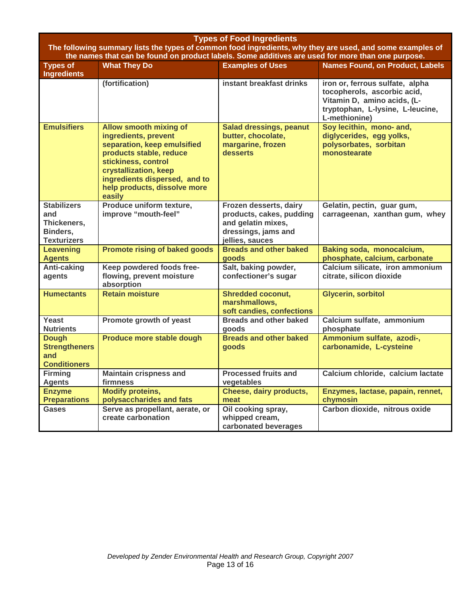| <b>Types of Food Ingredients</b><br>The following summary lists the types of common food ingredients, why they are used, and some examples of<br>the names that can be found on product labels. Some additives are used for more than one purpose. |                                                                                                                                                                                                                                            |                                                                                                                    |                                                                                                                                                    |
|----------------------------------------------------------------------------------------------------------------------------------------------------------------------------------------------------------------------------------------------------|--------------------------------------------------------------------------------------------------------------------------------------------------------------------------------------------------------------------------------------------|--------------------------------------------------------------------------------------------------------------------|----------------------------------------------------------------------------------------------------------------------------------------------------|
| <b>Types of</b><br><b>Ingredients</b>                                                                                                                                                                                                              | <b>What They Do</b>                                                                                                                                                                                                                        | <b>Examples of Uses</b>                                                                                            | <b>Names Found, on Product, Labels</b>                                                                                                             |
|                                                                                                                                                                                                                                                    | (fortification)                                                                                                                                                                                                                            | instant breakfast drinks                                                                                           | iron or, ferrous sulfate, alpha<br>tocopherols, ascorbic acid,<br>Vitamin D, amino acids, (L-<br>tryptophan, L-lysine, L-leucine,<br>L-methionine) |
| <b>Emulsifiers</b>                                                                                                                                                                                                                                 | <b>Allow smooth mixing of</b><br>ingredients, prevent<br>separation, keep emulsified<br>products stable, reduce<br>stickiness, control<br>crystallization, keep<br>ingredients dispersed, and to<br>help products, dissolve more<br>easily | <b>Salad dressings, peanut</b><br>butter, chocolate,<br>margarine, frozen<br>desserts                              | Soy lecithin, mono- and,<br>diglycerides, egg yolks,<br>polysorbates, sorbitan<br>monostearate                                                     |
| <b>Stabilizers</b><br>and<br>Thickeners,<br>Binders,<br><b>Texturizers</b>                                                                                                                                                                         | Produce uniform texture,<br>improve "mouth-feel"                                                                                                                                                                                           | Frozen desserts, dairy<br>products, cakes, pudding<br>and gelatin mixes,<br>dressings, jams and<br>jellies, sauces | Gelatin, pectin, guar gum,<br>carrageenan, xanthan gum, whey                                                                                       |
| <b>Leavening</b><br><b>Agents</b>                                                                                                                                                                                                                  | <b>Promote rising of baked goods</b>                                                                                                                                                                                                       | <b>Breads and other baked</b><br>goods                                                                             | Baking soda, monocalcium,<br>phosphate, calcium, carbonate                                                                                         |
| <b>Anti-caking</b><br>agents                                                                                                                                                                                                                       | Keep powdered foods free-<br>flowing, prevent moisture<br>absorption                                                                                                                                                                       | Salt, baking powder,<br>confectioner's sugar                                                                       | Calcium silicate, iron ammonium<br>citrate, silicon dioxide                                                                                        |
| <b>Humectants</b>                                                                                                                                                                                                                                  | <b>Retain moisture</b>                                                                                                                                                                                                                     | <b>Shredded coconut,</b><br>marshmallows,<br>soft candies, confections                                             | Glycerin, sorbitol                                                                                                                                 |
| <b>Yeast</b><br><b>Nutrients</b>                                                                                                                                                                                                                   | Promote growth of yeast                                                                                                                                                                                                                    | <b>Breads and other baked</b><br>goods                                                                             | Calcium sulfate, ammonium<br>phosphate                                                                                                             |
| <b>Dough</b><br><b>Strengtheners</b><br>and<br><b>Conditioners</b>                                                                                                                                                                                 | Produce more stable dough                                                                                                                                                                                                                  | <b>Breads and other baked</b><br>goods                                                                             | Ammonium sulfate, azodi-,<br>carbonamide, L-cysteine                                                                                               |
| <b>Firming</b><br><b>Agents</b>                                                                                                                                                                                                                    | <b>Maintain crispness and</b><br>firmness                                                                                                                                                                                                  | <b>Processed fruits and</b><br>vegetables                                                                          | Calcium chloride, calcium lactate                                                                                                                  |
| <b>Enzyme</b><br><b>Preparations</b>                                                                                                                                                                                                               | <b>Modify proteins,</b><br>polysaccharides and fats                                                                                                                                                                                        | Cheese, dairy products,<br>meat                                                                                    | Enzymes, lactase, papain, rennet,<br>chymosin                                                                                                      |
| <b>Gases</b>                                                                                                                                                                                                                                       | Serve as propellant, aerate, or<br>create carbonation                                                                                                                                                                                      | Oil cooking spray,<br>whipped cream,<br>carbonated beverages                                                       | Carbon dioxide, nitrous oxide                                                                                                                      |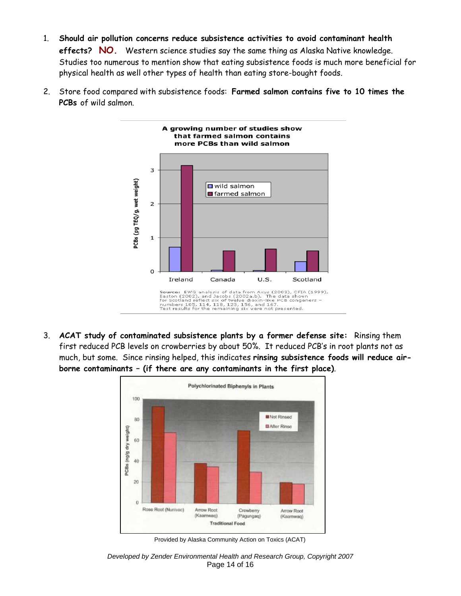- 1. **Should air pollution concerns reduce subsistence activities to avoid contaminant health effects? NO.** Western science studies say the same thing as Alaska Native knowledge. Studies too numerous to mention show that eating subsistence foods is much more beneficial for physical health as well other types of health than eating store-bought foods.
- 2. Store food compared with subsistence foods: **Farmed salmon contains five to 10 times the PCBs** of wild salmon.



3. **ACAT study of contaminated subsistence plants by a former defense site:** Rinsing them first reduced PCB levels on crowberries by about 50%. It reduced PCB's in root plants not as much, but some. Since rinsing helped, this indicates **rinsing subsistence foods will reduce airborne contaminants – (if there are any contaminants in the first place)**.



Provided by Alaska Community Action on Toxics (ACAT)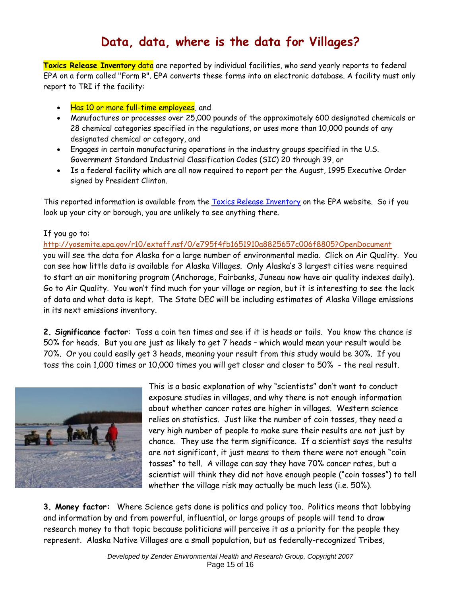## **Data, data, where is the data for Villages?**

**Toxics Release Inventory** data are reported by individual facilities, who send yearly reports to federal EPA on a form called "Form R". EPA converts these forms into an electronic database. A facility must only report to TRI if the facility:

- Has 10 or more full-time employees, and
- Manufactures or processes over 25,000 pounds of the approximately 600 designated chemicals or 28 chemical categories specified in the regulations, or uses more than 10,000 pounds of any designated chemical or category, and
- Engages in certain manufacturing operations in the industry groups specified in the U.S. Government Standard Industrial Classification Codes (SIC) 20 through 39, or
- Is a federal facility which are all now required to report per the August, 1995 Executive Order signed by President Clinton.

This reported information is available from the Toxics Release Inventory on the EPA website. So if you look up your city or borough, you are unlikely to see anything there.

#### If you go to:

http://yosemite.epa.gov/r10/extaff.nsf/0/e795f4fb1651910a8825657c006f8805?OpenDocument you will see the data for Alaska for a large number of environmental media. Click on Air Quality. You can see how little data is available for Alaska Villages. Only Alaska's 3 largest cities were required to start an air monitoring program (Anchorage, Fairbanks, Juneau now have air quality indexes daily). Go to Air Quality. You won't find much for your village or region, but it is interesting to see the lack of data and what data is kept. The State DEC will be including estimates of Alaska Village emissions in its next emissions inventory.

**2. Significance factor**: Toss a coin ten times and see if it is heads or tails. You know the chance is 50% for heads. But you are just as likely to get 7 heads – which would mean your result would be 70%. Or you could easily get 3 heads, meaning your result from this study would be 30%. If you toss the coin 1,000 times or 10,000 times you will get closer and closer to 50% - the real result.



This is a basic explanation of why "scientists" don't want to conduct exposure studies in villages, and why there is not enough information about whether cancer rates are higher in villages. Western science relies on statistics. Just like the number of coin tosses, they need a very high number of people to make sure their results are not just by chance. They use the term significance. If a scientist says the results are not significant, it just means to them there were not enough "coin tosses" to tell. A village can say they have 70% cancer rates, but a scientist will think they did not have enough people ("coin tosses") to tell whether the village risk may actually be much less (i.e. 50%).

**3. Money factor:** Where Science gets done is politics and policy too. Politics means that lobbying and information by and from powerful, influential, or large groups of people will tend to draw research money to that topic because politicians will perceive it as a priority for the people they represent. Alaska Native Villages are a small population, but as federally-recognized Tribes,